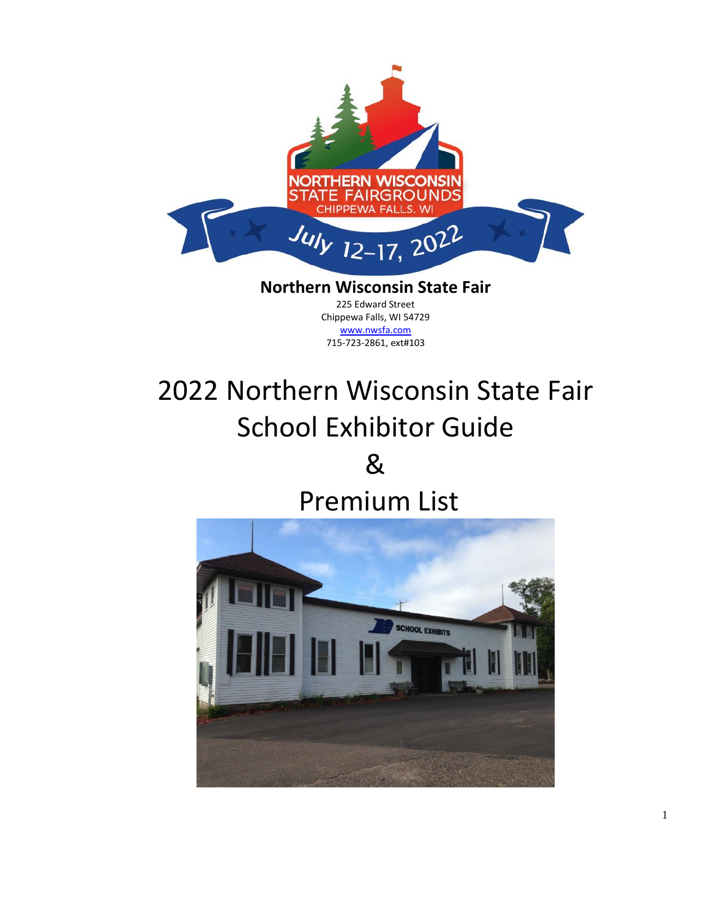

#### **Northern Wisconsin State Fair** 225 Edward Street Chippewa Falls, WI 54729 [www.nwsfa.com](http://www.nwsfa.com/) 715-723-2861, ext#103

# 2022 Northern Wisconsin State Fair School Exhibitor Guide &

## Premium List

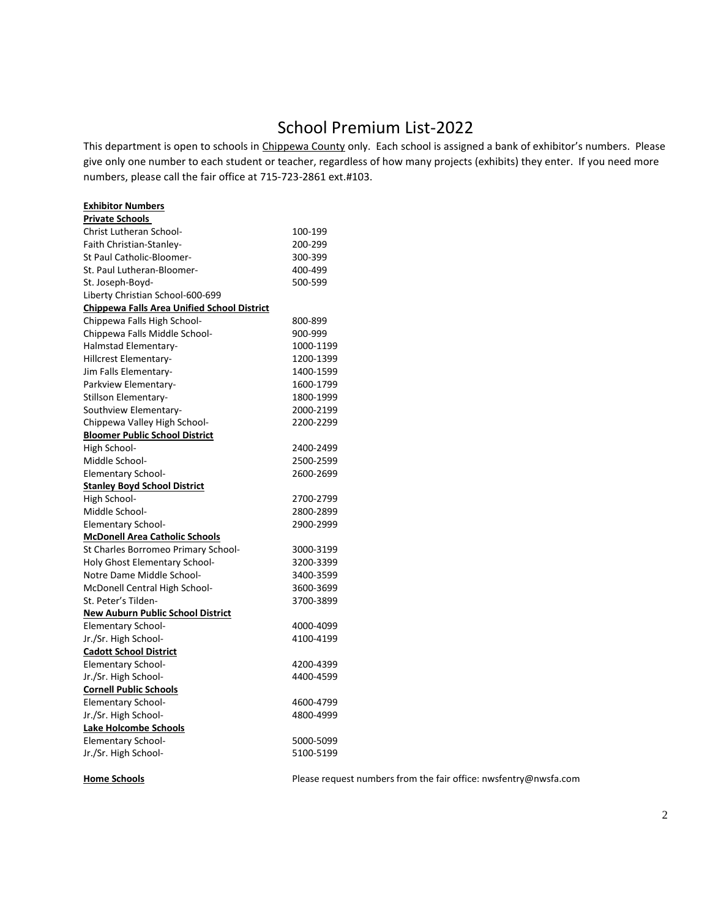## School Premium List-2022

This department is open to schools in Chippewa County only. Each school is assigned a bank of exhibitor's numbers. Please give only one number to each student or teacher, regardless of how many projects (exhibits) they enter. If you need more numbers, please call the fair office at 715-723-2861 ext.#103.

| <b>Exhibitor Numbers</b>                           |           |
|----------------------------------------------------|-----------|
| <b>Private Schools</b>                             |           |
| <b>Christ Lutheran School-</b>                     | 100-199   |
| Faith Christian-Stanlev-                           | 200-299   |
| St Paul Catholic-Bloomer-                          | 300-399   |
| St. Paul Lutheran-Bloomer-                         | 400-499   |
| St. Joseph-Boyd-                                   | 500-599   |
| Liberty Christian School-600-699                   |           |
| <b>Chippewa Falls Area Unified School District</b> |           |
| Chippewa Falls High School-                        | 800-899   |
| Chippewa Falls Middle School-                      | 900-999   |
| Halmstad Elementary-                               | 1000-1199 |
| Hillcrest Elementary-                              | 1200-1399 |
| Jim Falls Elementary-                              | 1400-1599 |
| Parkview Elementary-                               | 1600-1799 |
| Stillson Elementary-                               | 1800-1999 |
| Southview Elementary-                              | 2000-2199 |
| Chippewa Valley High School-                       | 2200-2299 |
| <b>Bloomer Public School District</b>              |           |
| High School-                                       | 2400-2499 |
| Middle School-                                     | 2500-2599 |
| <b>Elementary School-</b>                          | 2600-2699 |
| <b>Stanley Boyd School District</b>                |           |
| High School-                                       | 2700-2799 |
| Middle School-                                     | 2800-2899 |
| <b>Elementary School-</b>                          | 2900-2999 |
| <b>McDonell Area Catholic Schools</b>              |           |
| St Charles Borromeo Primary School-                | 3000-3199 |
| <b>Holy Ghost Elementary School-</b>               | 3200-3399 |
| Notre Dame Middle School-                          | 3400-3599 |
| McDonell Central High School-                      | 3600-3699 |
| St. Peter's Tilden-                                | 3700-3899 |
| <b>New Auburn Public School District</b>           |           |
| <b>Elementary School-</b>                          | 4000-4099 |
| Jr./Sr. High School-                               | 4100-4199 |
| <b>Cadott School District</b>                      |           |
| <b>Elementary School-</b>                          | 4200-4399 |
| Jr./Sr. High School-                               | 4400-4599 |
| <b>Cornell Public Schools</b>                      |           |
| <b>Elementary School-</b>                          | 4600-4799 |
| Jr./Sr. High School-                               | 4800-4999 |
| <b>Lake Holcombe Schools</b>                       |           |
| <b>Elementary School-</b>                          | 5000-5099 |
| Jr./Sr. High School-                               | 5100-5199 |
|                                                    |           |

**Home Schools** Please request numbers from the fair office: nwsfentry@nwsfa.com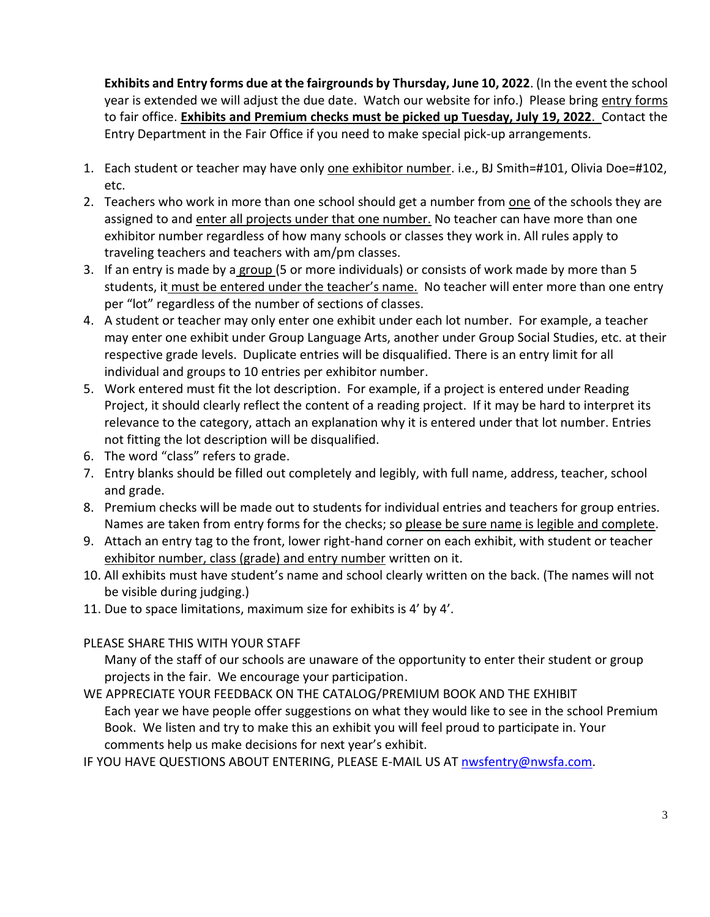**Exhibits and Entry forms due at the fairgrounds by Thursday, June 10, 2022**. (In the event the school year is extended we will adjust the due date. Watch our website for info.) Please bring entry forms to fair office. **Exhibits and Premium checks must be picked up Tuesday, July 19, 2022**. Contact the Entry Department in the Fair Office if you need to make special pick-up arrangements.

- 1. Each student or teacher may have only one exhibitor number. i.e., BJ Smith=#101, Olivia Doe=#102, etc.
- 2. Teachers who work in more than one school should get a number from one of the schools they are assigned to and enter all projects under that one number. No teacher can have more than one exhibitor number regardless of how many schools or classes they work in. All rules apply to traveling teachers and teachers with am/pm classes.
- 3. If an entry is made by a group (5 or more individuals) or consists of work made by more than 5 students, it must be entered under the teacher's name. No teacher will enter more than one entry per "lot" regardless of the number of sections of classes.
- 4. A student or teacher may only enter one exhibit under each lot number. For example, a teacher may enter one exhibit under Group Language Arts, another under Group Social Studies, etc. at their respective grade levels. Duplicate entries will be disqualified. There is an entry limit for all individual and groups to 10 entries per exhibitor number.
- 5. Work entered must fit the lot description. For example, if a project is entered under Reading Project, it should clearly reflect the content of a reading project. If it may be hard to interpret its relevance to the category, attach an explanation why it is entered under that lot number. Entries not fitting the lot description will be disqualified.
- 6. The word "class" refers to grade.
- 7. Entry blanks should be filled out completely and legibly, with full name, address, teacher, school and grade.
- 8. Premium checks will be made out to students for individual entries and teachers for group entries. Names are taken from entry forms for the checks; so please be sure name is legible and complete.
- 9. Attach an entry tag to the front, lower right-hand corner on each exhibit, with student or teacher exhibitor number, class (grade) and entry number written on it.
- 10. All exhibits must have student's name and school clearly written on the back. (The names will not be visible during judging.)
- 11. Due to space limitations, maximum size for exhibits is 4' by 4'.
- PLEASE SHARE THIS WITH YOUR STAFF

Many of the staff of our schools are unaware of the opportunity to enter their student or group projects in the fair. We encourage your participation.

WE APPRECIATE YOUR FEEDBACK ON THE CATALOG/PREMIUM BOOK AND THE EXHIBIT Each year we have people offer suggestions on what they would like to see in the school Premium Book. We listen and try to make this an exhibit you will feel proud to participate in. Your comments help us make decisions for next year's exhibit.

IF YOU HAVE QUESTIONS ABOUT ENTERING, PLEASE E-MAIL US AT [nwsfentry@nwsfa.com.](mailto:nwsfentry@nwsfa.com)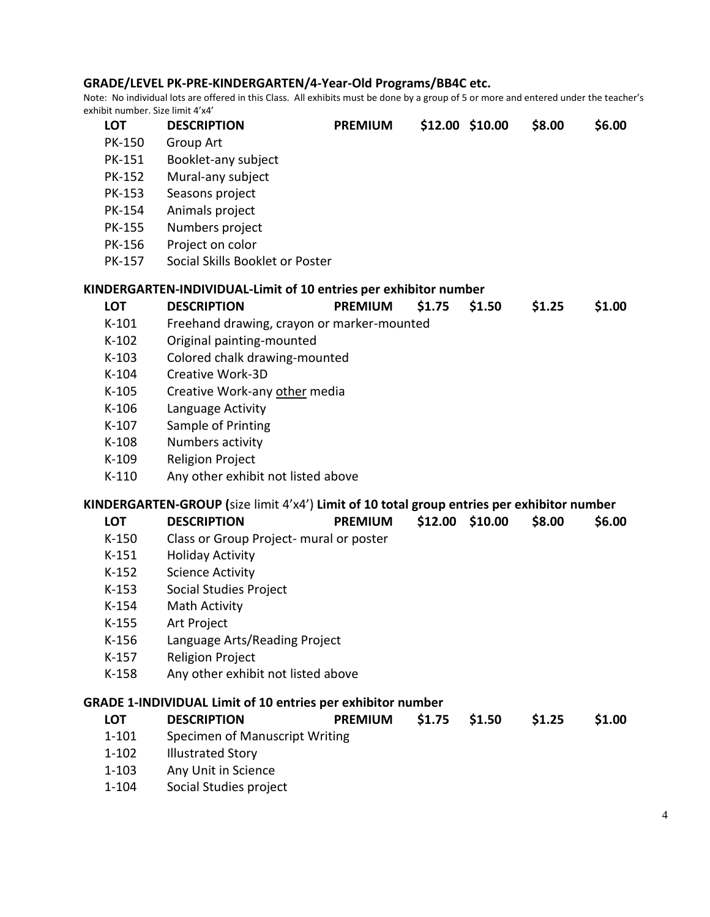#### **GRADE/LEVEL PK-PRE-KINDERGARTEN/4-Year-Old Programs/BB4C etc.**

Note: No individual lots are offered in this Class. All exhibits must be done by a group of 5 or more and entered under the teacher's exhibit number. Size limit 4'x4'

| <b>LOT</b>    | <b>DESCRIPTION</b>                                                                         | <b>PREMIUM</b> |         | \$12.00 \$10.00 | \$8.00 | \$6.00 |
|---------------|--------------------------------------------------------------------------------------------|----------------|---------|-----------------|--------|--------|
| PK-150        | Group Art                                                                                  |                |         |                 |        |        |
| PK-151        | Booklet-any subject                                                                        |                |         |                 |        |        |
| <b>PK-152</b> | Mural-any subject                                                                          |                |         |                 |        |        |
| <b>PK-153</b> | Seasons project                                                                            |                |         |                 |        |        |
| <b>PK-154</b> | Animals project                                                                            |                |         |                 |        |        |
| <b>PK-155</b> | Numbers project                                                                            |                |         |                 |        |        |
| <b>PK-156</b> | Project on color                                                                           |                |         |                 |        |        |
| PK-157        | Social Skills Booklet or Poster                                                            |                |         |                 |        |        |
|               |                                                                                            |                |         |                 |        |        |
| <b>LOT</b>    | KINDERGARTEN-INDIVIDUAL-Limit of 10 entries per exhibitor number<br><b>DESCRIPTION</b>     | <b>PREMIUM</b> | \$1.75  |                 |        |        |
|               |                                                                                            |                |         | \$1.50          | \$1.25 | \$1.00 |
| $K-101$       | Freehand drawing, crayon or marker-mounted                                                 |                |         |                 |        |        |
| $K-102$       | Original painting-mounted                                                                  |                |         |                 |        |        |
| $K-103$       | Colored chalk drawing-mounted                                                              |                |         |                 |        |        |
| $K-104$       | Creative Work-3D                                                                           |                |         |                 |        |        |
| $K-105$       | Creative Work-any other media                                                              |                |         |                 |        |        |
| $K-106$       | Language Activity                                                                          |                |         |                 |        |        |
| $K-107$       | Sample of Printing                                                                         |                |         |                 |        |        |
| $K-108$       | Numbers activity                                                                           |                |         |                 |        |        |
| $K-109$       | <b>Religion Project</b>                                                                    |                |         |                 |        |        |
| $K-110$       | Any other exhibit not listed above                                                         |                |         |                 |        |        |
|               | KINDERGARTEN-GROUP (size limit 4'x4') Limit of 10 total group entries per exhibitor number |                |         |                 |        |        |
| <b>LOT</b>    | <b>DESCRIPTION</b>                                                                         | <b>PREMIUM</b> | \$12.00 | \$10.00         | \$8.00 | \$6.00 |
| $K-150$       | Class or Group Project- mural or poster                                                    |                |         |                 |        |        |
| $K-151$       | <b>Holiday Activity</b>                                                                    |                |         |                 |        |        |
| $K-152$       | <b>Science Activity</b>                                                                    |                |         |                 |        |        |
| $K-153$       | Social Studies Project                                                                     |                |         |                 |        |        |
| $K-154$       | Math Activity                                                                              |                |         |                 |        |        |
| $K-155$       | <b>Art Project</b>                                                                         |                |         |                 |        |        |
| K-156         | Language Arts/Reading Project                                                              |                |         |                 |        |        |
| $K-157$       | <b>Religion Project</b>                                                                    |                |         |                 |        |        |
| K-158         | Any other exhibit not listed above                                                         |                |         |                 |        |        |
|               |                                                                                            |                |         |                 |        |        |
|               | <b>GRADE 1-INDIVIDUAL Limit of 10 entries per exhibitor number</b>                         |                |         |                 |        |        |
| <b>LOT</b>    | <b>DESCRIPTION</b>                                                                         | <b>PREMIUM</b> | \$1.75  | \$1.50          | \$1.25 | \$1.00 |
| $1 - 101$     | Specimen of Manuscript Writing                                                             |                |         |                 |        |        |
| $1 - 102$     | <b>Illustrated Story</b>                                                                   |                |         |                 |        |        |
| $1 - 103$     | Any Unit in Science                                                                        |                |         |                 |        |        |
| $1 - 104$     | Social Studies project                                                                     |                |         |                 |        |        |
|               |                                                                                            |                |         |                 |        |        |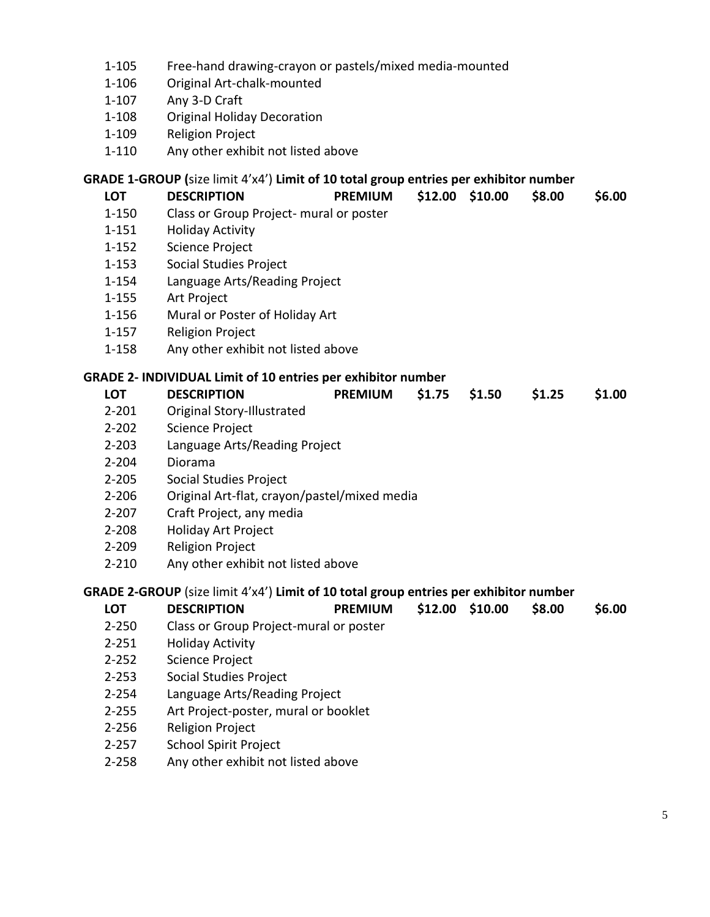- 1-105 Free-hand drawing-crayon or pastels/mixed media-mounted
- 1-106 Original Art-chalk-mounted
- 1-107 Any 3-D Craft
- 1-108 Original Holiday Decoration
- 1-109 Religion Project
- 1-110 Any other exhibit not listed above

### **GRADE 1-GROUP (**size limit 4'x4') **Limit of 10 total group entries per exhibitor number**

| <b>LOT</b> | <b>DESCRIPTION</b>                                                                    | <b>PREMIUM</b> |                   | \$12.00 \$10.00 | \$8.00 | \$6.00 |
|------------|---------------------------------------------------------------------------------------|----------------|-------------------|-----------------|--------|--------|
| $1 - 150$  | Class or Group Project- mural or poster                                               |                |                   |                 |        |        |
| $1 - 151$  | <b>Holiday Activity</b>                                                               |                |                   |                 |        |        |
| $1 - 152$  | <b>Science Project</b>                                                                |                |                   |                 |        |        |
| $1 - 153$  | Social Studies Project                                                                |                |                   |                 |        |        |
| $1 - 154$  | Language Arts/Reading Project                                                         |                |                   |                 |        |        |
| 1-155      | Art Project                                                                           |                |                   |                 |        |        |
| 1-156      | Mural or Poster of Holiday Art                                                        |                |                   |                 |        |        |
| $1 - 157$  | <b>Religion Project</b>                                                               |                |                   |                 |        |        |
| 1-158      | Any other exhibit not listed above                                                    |                |                   |                 |        |        |
|            | <b>GRADE 2- INDIVIDUAL Limit of 10 entries per exhibitor number</b>                   |                |                   |                 |        |        |
| <b>LOT</b> | <b>DESCRIPTION</b>                                                                    | <b>PREMIUM</b> | \$1.75            | \$1.50          | \$1.25 | \$1.00 |
| $2 - 201$  | Original Story-Illustrated                                                            |                |                   |                 |        |        |
| $2 - 202$  | Science Project                                                                       |                |                   |                 |        |        |
| $2 - 203$  | Language Arts/Reading Project                                                         |                |                   |                 |        |        |
| $2 - 204$  | Diorama                                                                               |                |                   |                 |        |        |
| $2 - 205$  | Social Studies Project                                                                |                |                   |                 |        |        |
| $2 - 206$  | Original Art-flat, crayon/pastel/mixed media                                          |                |                   |                 |        |        |
| $2 - 207$  | Craft Project, any media                                                              |                |                   |                 |        |        |
| $2 - 208$  | Holiday Art Project                                                                   |                |                   |                 |        |        |
| $2 - 209$  | <b>Religion Project</b>                                                               |                |                   |                 |        |        |
| $2 - 210$  | Any other exhibit not listed above                                                    |                |                   |                 |        |        |
|            | GRADE 2-GROUP (size limit 4'x4') Limit of 10 total group entries per exhibitor number |                |                   |                 |        |        |
| <b>LOT</b> | <b>DESCRIPTION</b>                                                                    | <b>PREMIUM</b> | $$12.00$ $$10.00$ |                 | \$8.00 | \$6.00 |
| $2 - 250$  | Class or Group Project-mural or poster                                                |                |                   |                 |        |        |
| $2 - 251$  | <b>Holiday Activity</b>                                                               |                |                   |                 |        |        |
| $2 - 252$  | <b>Science Project</b>                                                                |                |                   |                 |        |        |
| $2 - 253$  | Social Studies Project                                                                |                |                   |                 |        |        |
| $2 - 254$  | Language Arts/Reading Project                                                         |                |                   |                 |        |        |
| $2 - 255$  | Art Project-poster, mural or booklet                                                  |                |                   |                 |        |        |
| $2 - 256$  | <b>Religion Project</b>                                                               |                |                   |                 |        |        |
| ついつにつ      | School Spirit Droipct                                                                 |                |                   |                 |        |        |

- 2-257 School Spirit Project
- 2-258 Any other exhibit not listed above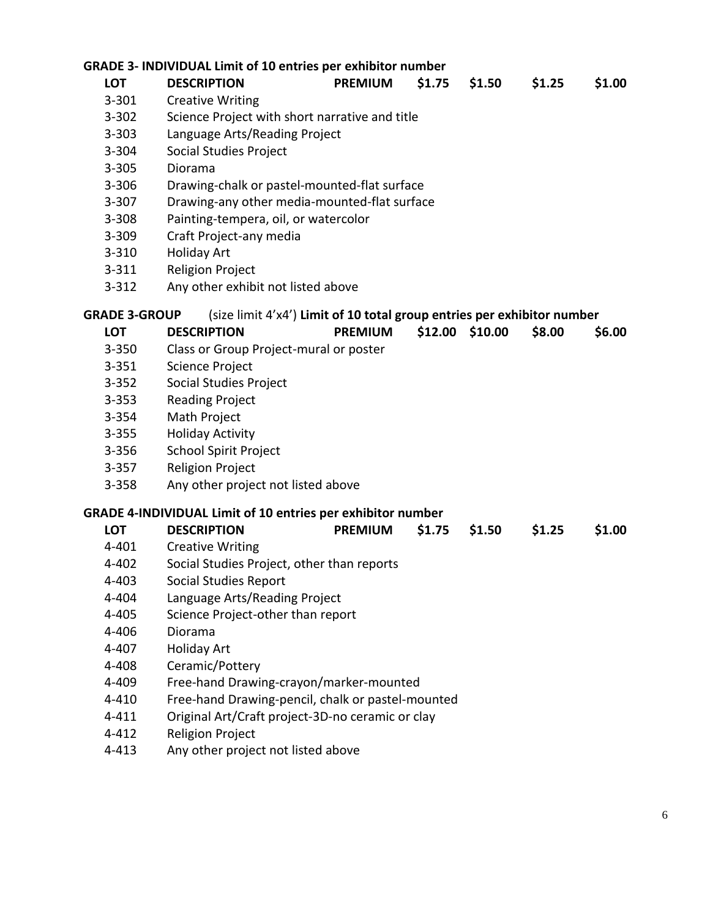#### **GRADE 3- INDIVIDUAL Limit of 10 entries per exhibitor number**

|                      | <b>GRADE 3- INDIVIDUAL Limit of 10 entries per exhibitor number</b>     |                |        |                 |        |        |
|----------------------|-------------------------------------------------------------------------|----------------|--------|-----------------|--------|--------|
| <b>LOT</b>           | <b>DESCRIPTION</b>                                                      | <b>PREMIUM</b> | \$1.75 | \$1.50          | \$1.25 | \$1.00 |
| $3 - 301$            | <b>Creative Writing</b>                                                 |                |        |                 |        |        |
| $3 - 302$            | Science Project with short narrative and title                          |                |        |                 |        |        |
| $3 - 303$            | Language Arts/Reading Project                                           |                |        |                 |        |        |
| 3-304                | Social Studies Project                                                  |                |        |                 |        |        |
| $3 - 305$            | Diorama                                                                 |                |        |                 |        |        |
| $3 - 306$            | Drawing-chalk or pastel-mounted-flat surface                            |                |        |                 |        |        |
| $3 - 307$            | Drawing-any other media-mounted-flat surface                            |                |        |                 |        |        |
| $3 - 308$            | Painting-tempera, oil, or watercolor                                    |                |        |                 |        |        |
| 3-309                | Craft Project-any media                                                 |                |        |                 |        |        |
| $3 - 310$            | <b>Holiday Art</b>                                                      |                |        |                 |        |        |
| $3 - 311$            | <b>Religion Project</b>                                                 |                |        |                 |        |        |
| $3 - 312$            | Any other exhibit not listed above                                      |                |        |                 |        |        |
| <b>GRADE 3-GROUP</b> | (size limit 4'x4') Limit of 10 total group entries per exhibitor number |                |        |                 |        |        |
| <b>LOT</b>           | <b>DESCRIPTION</b>                                                      | <b>PREMIUM</b> |        | \$12.00 \$10.00 | \$8.00 | \$6.00 |
| $3 - 350$            | Class or Group Project-mural or poster                                  |                |        |                 |        |        |
| $3 - 351$            | Science Project                                                         |                |        |                 |        |        |
| $3 - 352$            | Social Studies Project                                                  |                |        |                 |        |        |
| $3 - 353$            | <b>Reading Project</b>                                                  |                |        |                 |        |        |
| $3 - 354$            | Math Project                                                            |                |        |                 |        |        |
| $3 - 355$            | <b>Holiday Activity</b>                                                 |                |        |                 |        |        |
| 3-356                | <b>School Spirit Project</b>                                            |                |        |                 |        |        |
| $3 - 357$            | <b>Religion Project</b>                                                 |                |        |                 |        |        |
| $3 - 358$            | Any other project not listed above                                      |                |        |                 |        |        |
|                      | <b>GRADE 4-INDIVIDUAL Limit of 10 entries per exhibitor number</b>      |                |        |                 |        |        |
| <b>LOT</b>           | <b>DESCRIPTION</b>                                                      | <b>PREMIUM</b> | \$1.75 | \$1.50          | \$1.25 | \$1.00 |
| 4-401                | <b>Creative Writing</b>                                                 |                |        |                 |        |        |
| 4-402                | Social Studies Project, other than reports                              |                |        |                 |        |        |
| 4-403                | Social Studies Report                                                   |                |        |                 |        |        |
| 4-404                | Language Arts/Reading Project                                           |                |        |                 |        |        |
| 4-405                | Science Project-other than report                                       |                |        |                 |        |        |
| 4-406                | Diorama                                                                 |                |        |                 |        |        |
| 4-407                | <b>Holiday Art</b>                                                      |                |        |                 |        |        |
| 4-408                | Ceramic/Pottery                                                         |                |        |                 |        |        |
| 4-409                | Free-hand Drawing-crayon/marker-mounted                                 |                |        |                 |        |        |
| 4-410                | Free-hand Drawing-pencil, chalk or pastel-mounted                       |                |        |                 |        |        |
| $4 - 411$            | Original Art/Craft project-3D-no ceramic or clay                        |                |        |                 |        |        |
| $4 - 412$            | <b>Religion Project</b>                                                 |                |        |                 |        |        |

4-413 Any other project not listed above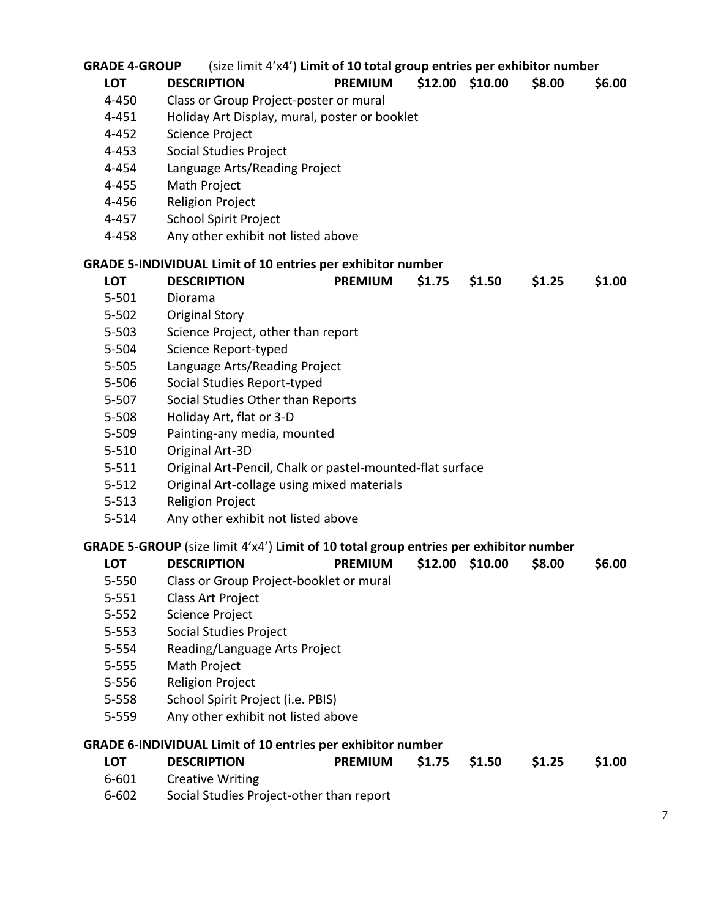| <b>GRADE 4-GROUP</b> | (size limit 4'x4') Limit of 10 total group entries per exhibitor number               |                |                   |        |        |        |
|----------------------|---------------------------------------------------------------------------------------|----------------|-------------------|--------|--------|--------|
| <b>LOT</b>           | <b>DESCRIPTION</b>                                                                    | <b>PREMIUM</b> | \$12.00 \$10.00   |        | \$8.00 | \$6.00 |
| 4-450                | Class or Group Project-poster or mural                                                |                |                   |        |        |        |
| 4-451                | Holiday Art Display, mural, poster or booklet                                         |                |                   |        |        |        |
| 4-452                | Science Project                                                                       |                |                   |        |        |        |
| 4-453                | Social Studies Project                                                                |                |                   |        |        |        |
| 4-454                | Language Arts/Reading Project                                                         |                |                   |        |        |        |
| 4-455                | Math Project                                                                          |                |                   |        |        |        |
| 4-456                | <b>Religion Project</b>                                                               |                |                   |        |        |        |
| 4-457                | <b>School Spirit Project</b>                                                          |                |                   |        |        |        |
| 4-458                | Any other exhibit not listed above                                                    |                |                   |        |        |        |
|                      | <b>GRADE 5-INDIVIDUAL Limit of 10 entries per exhibitor number</b>                    |                |                   |        |        |        |
| <b>LOT</b>           | <b>DESCRIPTION</b>                                                                    | <b>PREMIUM</b> | \$1.75            | \$1.50 | \$1.25 | \$1.00 |
| $5 - 501$            | Diorama                                                                               |                |                   |        |        |        |
| $5 - 502$            | <b>Original Story</b>                                                                 |                |                   |        |        |        |
| $5 - 503$            | Science Project, other than report                                                    |                |                   |        |        |        |
| $5 - 504$            | Science Report-typed                                                                  |                |                   |        |        |        |
| 5-505                | Language Arts/Reading Project                                                         |                |                   |        |        |        |
| 5-506                | Social Studies Report-typed                                                           |                |                   |        |        |        |
| $5 - 507$            | Social Studies Other than Reports                                                     |                |                   |        |        |        |
| 5-508                | Holiday Art, flat or 3-D                                                              |                |                   |        |        |        |
| $5 - 509$            | Painting-any media, mounted                                                           |                |                   |        |        |        |
| $5 - 510$            | Original Art-3D                                                                       |                |                   |        |        |        |
| $5 - 511$            | Original Art-Pencil, Chalk or pastel-mounted-flat surface                             |                |                   |        |        |        |
| $5 - 512$            | Original Art-collage using mixed materials                                            |                |                   |        |        |        |
| $5 - 513$            | <b>Religion Project</b>                                                               |                |                   |        |        |        |
| $5 - 514$            | Any other exhibit not listed above                                                    |                |                   |        |        |        |
|                      | GRADE 5-GROUP (size limit 4'x4') Limit of 10 total group entries per exhibitor number |                |                   |        |        |        |
| <b>LOT</b>           | <b>DESCRIPTION</b>                                                                    | <b>PREMIUM</b> | $$12.00$ $$10.00$ |        | \$8.00 | \$6.00 |
| 5-550                | Class or Group Project-booklet or mural                                               |                |                   |        |        |        |
| $5 - 551$            | <b>Class Art Project</b>                                                              |                |                   |        |        |        |
| $5 - 552$            | Science Project                                                                       |                |                   |        |        |        |
| $5 - 553$            | Social Studies Project                                                                |                |                   |        |        |        |
| $5 - 554$            | Reading/Language Arts Project                                                         |                |                   |        |        |        |
| $5 - 555$            | Math Project                                                                          |                |                   |        |        |        |
| 5-556                | <b>Religion Project</b>                                                               |                |                   |        |        |        |
| $5 - 558$            | School Spirit Project (i.e. PBIS)                                                     |                |                   |        |        |        |
| $5 - 559$            | Any other exhibit not listed above                                                    |                |                   |        |        |        |
|                      | <b>GRADE 6-INDIVIDUAL Limit of 10 entries per exhibitor number</b>                    |                |                   |        |        |        |
| <b>LOT</b>           | <b>DESCRIPTION</b>                                                                    | <b>PREMIUM</b> | \$1.75            | \$1.50 | \$1.25 | \$1.00 |
| $6 - 601$            | <b>Creative Writing</b>                                                               |                |                   |        |        |        |
| 6-602                | Social Studies Project-other than report                                              |                |                   |        |        |        |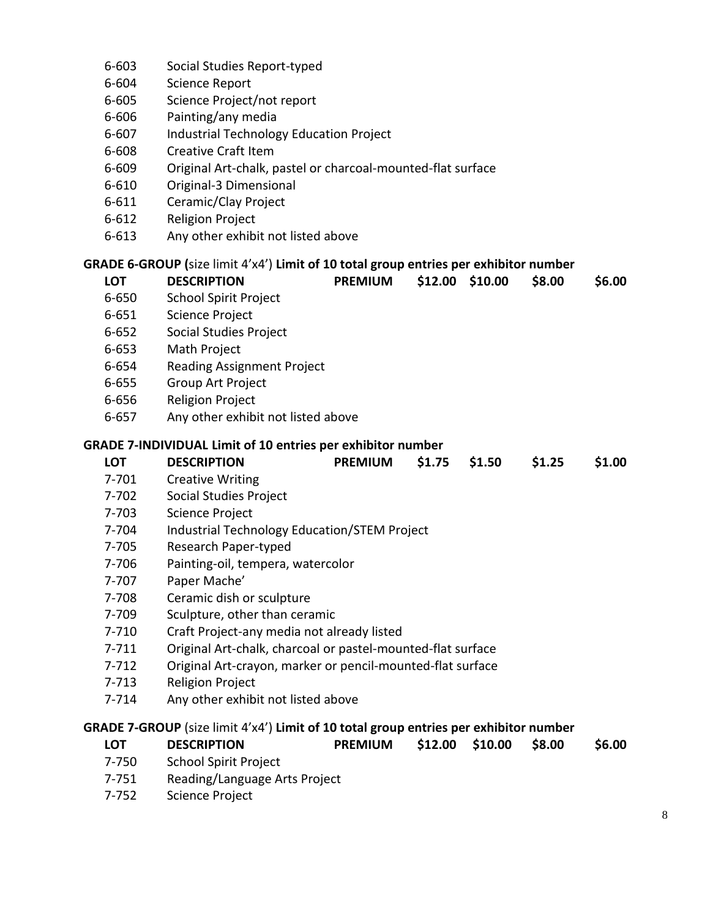- 6-603 Social Studies Report-typed
- 6-604 Science Report
- 6-605 Science Project/not report
- 6-606 Painting/any media
- 6-607 Industrial Technology Education Project
- 6-608 Creative Craft Item
- 6-609 Original Art-chalk, pastel or charcoal-mounted-flat surface
- 6-610 Original-3 Dimensional
- 6-611 Ceramic/Clay Project
- 6-612 Religion Project
- 6-613 Any other exhibit not listed above

## **GRADE 6-GROUP (**size limit 4'x4') **Limit of 10 total group entries per exhibitor number**

| <b>LOT</b> | <b>DESCRIPTION</b>                                                                    | <b>PREMIUM</b> | \$12.00 | \$10.00 | \$8.00 | \$6.00 |
|------------|---------------------------------------------------------------------------------------|----------------|---------|---------|--------|--------|
| 6-650      | <b>School Spirit Project</b>                                                          |                |         |         |        |        |
| $6 - 651$  | Science Project                                                                       |                |         |         |        |        |
| $6 - 652$  | <b>Social Studies Project</b>                                                         |                |         |         |        |        |
| $6 - 653$  | Math Project                                                                          |                |         |         |        |        |
| 6-654      | <b>Reading Assignment Project</b>                                                     |                |         |         |        |        |
| $6 - 655$  | <b>Group Art Project</b>                                                              |                |         |         |        |        |
| 6-656      | <b>Religion Project</b>                                                               |                |         |         |        |        |
| $6 - 657$  | Any other exhibit not listed above                                                    |                |         |         |        |        |
|            | <b>GRADE 7-INDIVIDUAL Limit of 10 entries per exhibitor number</b>                    |                |         |         |        |        |
| <b>LOT</b> | <b>DESCRIPTION</b>                                                                    | <b>PREMIUM</b> | \$1.75  | \$1.50  | \$1.25 | \$1.00 |
| 7-701      | <b>Creative Writing</b>                                                               |                |         |         |        |        |
| 7-702      | <b>Social Studies Project</b>                                                         |                |         |         |        |        |
| 7-703      | Science Project                                                                       |                |         |         |        |        |
| 7-704      | <b>Industrial Technology Education/STEM Project</b>                                   |                |         |         |        |        |
| 7-705      | Research Paper-typed                                                                  |                |         |         |        |        |
| 7-706      | Painting-oil, tempera, watercolor                                                     |                |         |         |        |        |
| 7-707      | Paper Mache'                                                                          |                |         |         |        |        |
| 7-708      | Ceramic dish or sculpture                                                             |                |         |         |        |        |
| 7-709      | Sculpture, other than ceramic                                                         |                |         |         |        |        |
| $7 - 710$  | Craft Project-any media not already listed                                            |                |         |         |        |        |
| $7 - 711$  | Original Art-chalk, charcoal or pastel-mounted-flat surface                           |                |         |         |        |        |
| $7 - 712$  | Original Art-crayon, marker or pencil-mounted-flat surface                            |                |         |         |        |        |
| $7 - 713$  | <b>Religion Project</b>                                                               |                |         |         |        |        |
| $7 - 714$  | Any other exhibit not listed above                                                    |                |         |         |        |        |
|            | GRADE 7-GROUP (size limit 4'x4') Limit of 10 total group entries per exhibitor number |                |         |         |        |        |
| <b>LOT</b> | <b>DESCRIPTION</b>                                                                    | <b>PREMIUM</b> | \$12.00 | \$10.00 | \$8.00 | \$6.00 |
| 7-750      | <b>School Spirit Project</b>                                                          |                |         |         |        |        |
|            |                                                                                       |                |         |         |        |        |

- 7-751 Reading/Language Arts Project
- 7-752 Science Project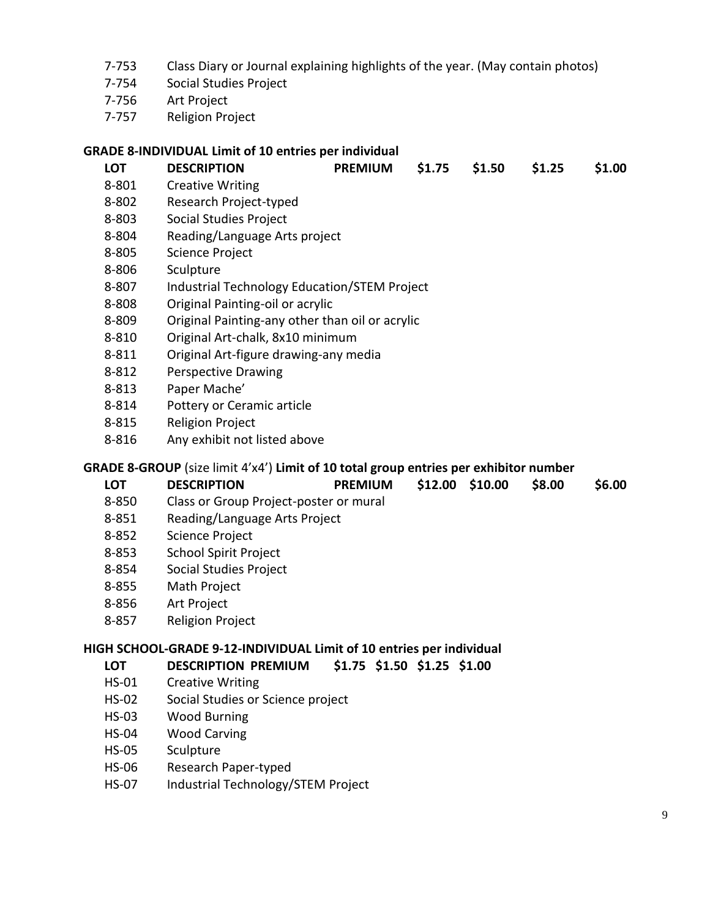- 7-753 Class Diary or Journal explaining highlights of the year. (May contain photos)
- 7-754 Social Studies Project
- 7-756 Art Project
- 7-757 Religion Project

#### **GRADE 8-INDIVIDUAL Limit of 10 entries per individual**

- **LOT DESCRIPTION PREMIUM \$1.75 \$1.50 \$1.25 \$1.00** 8-801 Creative Writing 8-802 Research Project-typed 8-803 Social Studies Project 8-804 Reading/Language Arts project 8-805 Science Project 8-806 Sculpture 8-807 Industrial Technology Education/STEM Project 8-808 Original Painting-oil or acrylic 8-809 Original Painting-any other than oil or acrylic 8-810 Original Art-chalk, 8x10 minimum
- 8-811 Original Art-figure drawing-any media
- 8-812 Perspective Drawing
- 8-813 Paper Mache'
- 8-814 Pottery or Ceramic article
- 8-815 Religion Project
- 8-816 Any exhibit not listed above

#### **GRADE 8-GROUP** (size limit 4'x4') **Limit of 10 total group entries per exhibitor number**

| LOT   | <b>DESCRIPTION</b>                          | PREMIUM \$12.00 \$10.00 \$8.00 |  | \$6.00 |
|-------|---------------------------------------------|--------------------------------|--|--------|
| o oro | Close on Chaine Duaiset moster on municipal |                                |  |        |

- 8-850 Class or Group Project-poster or mural
- 8-851 Reading/Language Arts Project
- 8-852 Science Project
- 8-853 School Spirit Project
- 8-854 Social Studies Project
- 8-855 Math Project
- 8-856 Art Project
- 8-857 Religion Project

#### **HIGH SCHOOL-GRADE 9-12-INDIVIDUAL Limit of 10 entries per individual**

#### **LOT DESCRIPTION PREMIUM \$1.75 \$1.50 \$1.25 \$1.00**

- HS-01 Creative Writing
- HS-02 Social Studies or Science project
- HS-03 Wood Burning
- HS-04 Wood Carving
- HS-05 Sculpture
- HS-06 Research Paper-typed
- HS-07 Industrial Technology/STEM Project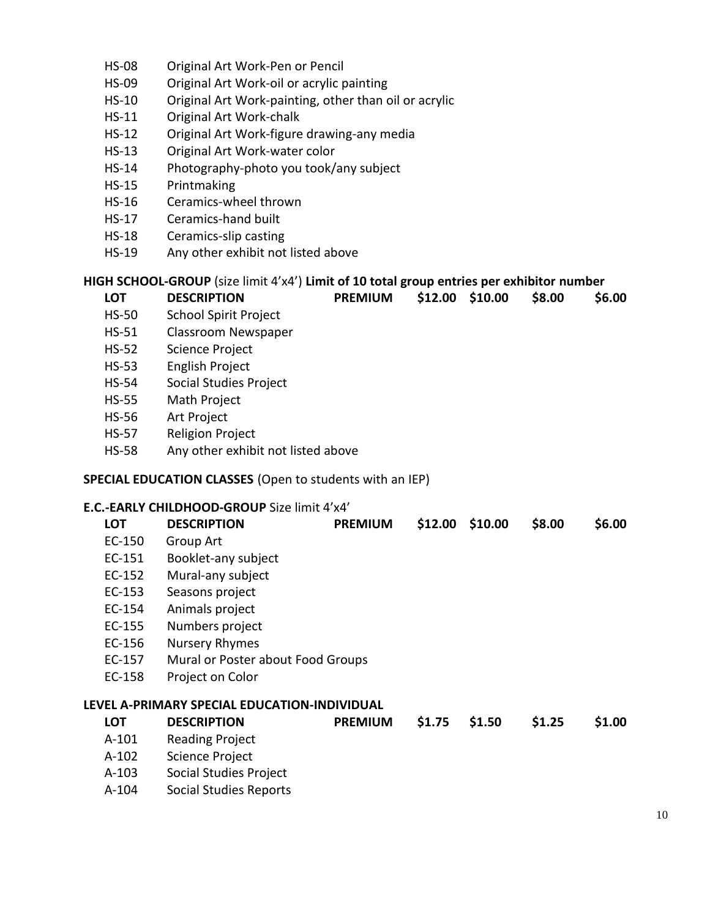- HS-08 Original Art Work-Pen or Pencil
- HS-09 Original Art Work-oil or acrylic painting
- HS-10 Original Art Work-painting, other than oil or acrylic
- HS-11 Original Art Work-chalk
- HS-12 Original Art Work-figure drawing-any media
- HS-13 Original Art Work-water color
- HS-14 Photography-photo you took/any subject
- HS-15 Printmaking
- HS-16 Ceramics-wheel thrown
- HS-17 Ceramics-hand built
- HS-18 Ceramics-slip casting
- HS-19 Any other exhibit not listed above

#### **HIGH SCHOOL-GROUP** (size limit 4'x4') **Limit of 10 total group entries per exhibitor number**

| LOT   | <b>DESCRIPTION</b>    | PREMIUM \$12.00 \$10.00 \$8.00 |  | \$6.00 |
|-------|-----------------------|--------------------------------|--|--------|
| HS-50 | School Snirit Project |                                |  |        |

- HS-50 School Spirit Project
- HS-51 Classroom Newspaper
- HS-52 Science Project
- HS-53 English Project
- HS-54 Social Studies Project
- HS-55 Math Project
- HS-56 Art Project
- HS-57 Religion Project
- HS-58 Any other exhibit not listed above

#### **SPECIAL EDUCATION CLASSES** (Open to students with an IEP)

#### **E.C.-EARLY CHILDHOOD-GROUP** Size limit 4'x4'

| <b>LOT</b> | <b>DESCRIPTION</b>                           | <b>PREMIUM</b> | \$12.00 | \$10.00 | \$8.00 | \$6.00 |
|------------|----------------------------------------------|----------------|---------|---------|--------|--------|
| EC-150     | Group Art                                    |                |         |         |        |        |
| EC-151     | Booklet-any subject                          |                |         |         |        |        |
| EC-152     | Mural-any subject                            |                |         |         |        |        |
| EC-153     | Seasons project                              |                |         |         |        |        |
| EC-154     | Animals project                              |                |         |         |        |        |
| EC-155     | Numbers project                              |                |         |         |        |        |
| EC-156     | Nursery Rhymes                               |                |         |         |        |        |
| EC-157     | Mural or Poster about Food Groups            |                |         |         |        |        |
| EC-158     | Project on Color                             |                |         |         |        |        |
|            | LEVEL A-PRIMARY SPECIAL EDUCATION-INDIVIDUAL |                |         |         |        |        |
| <b>LOT</b> | <b>DESCRIPTION</b>                           | <b>PREMIUM</b> | \$1.75  | \$1.50  | \$1.25 | \$1.00 |
| A-101      | <b>Reading Project</b>                       |                |         |         |        |        |
| $A-102$    | Science Project                              |                |         |         |        |        |
| $A-103$    | Social Studies Project                       |                |         |         |        |        |
| $\cdots$   |                                              |                |         |         |        |        |

A-104 Social Studies Reports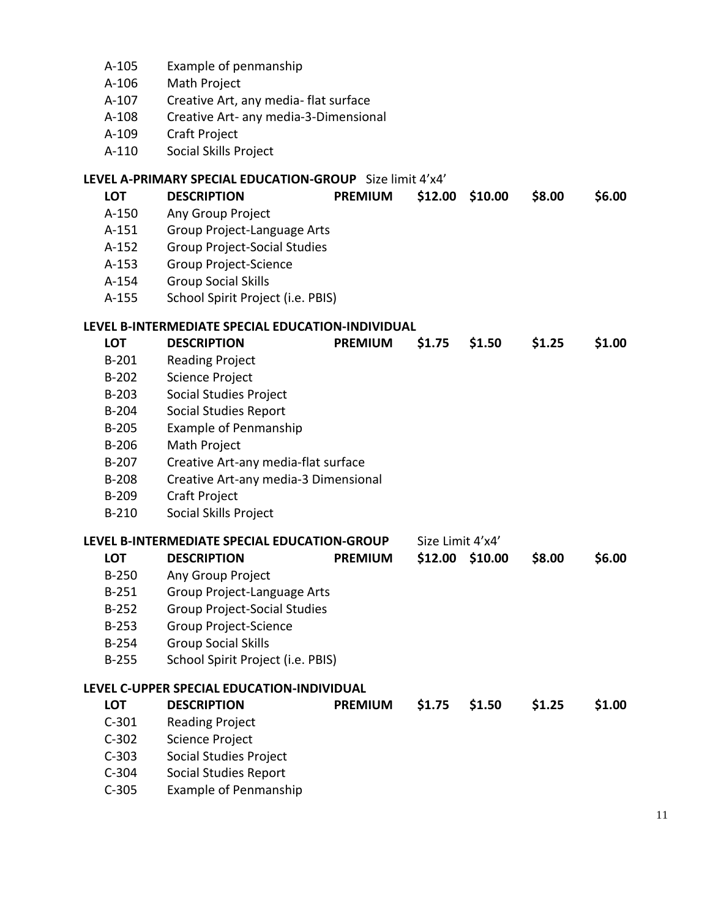- A-105 Example of penmanship
- A-106 Math Project
- A-107 Creative Art, any media- flat surface
- A-108 Creative Art- any media-3-Dimensional
- A-109 Craft Project
- A-110 Social Skills Project

#### **LEVEL A-PRIMARY SPECIAL EDUCATION-GROUP** Size limit 4'x4'

| <b>LOT</b> | <b>DESCRIPTION</b>                                | <b>PREMIUM</b> | \$12.00           | \$10.00 | \$8.00 | \$6.00 |
|------------|---------------------------------------------------|----------------|-------------------|---------|--------|--------|
| A-150      | Any Group Project                                 |                |                   |         |        |        |
| $A-151$    | Group Project-Language Arts                       |                |                   |         |        |        |
| $A-152$    | <b>Group Project-Social Studies</b>               |                |                   |         |        |        |
| $A-153$    | <b>Group Project-Science</b>                      |                |                   |         |        |        |
| $A-154$    | <b>Group Social Skills</b>                        |                |                   |         |        |        |
| A-155      | School Spirit Project (i.e. PBIS)                 |                |                   |         |        |        |
|            | LEVEL B-INTERMEDIATE SPECIAL EDUCATION-INDIVIDUAL |                |                   |         |        |        |
| <b>LOT</b> | <b>DESCRIPTION</b>                                | <b>PREMIUM</b> | \$1.75            | \$1.50  | \$1.25 | \$1.00 |
| $B-201$    | <b>Reading Project</b>                            |                |                   |         |        |        |
| $B-202$    | <b>Science Project</b>                            |                |                   |         |        |        |
| $B-203$    | Social Studies Project                            |                |                   |         |        |        |
| $B-204$    | Social Studies Report                             |                |                   |         |        |        |
| $B-205$    | <b>Example of Penmanship</b>                      |                |                   |         |        |        |
| $B-206$    | Math Project                                      |                |                   |         |        |        |
| $B-207$    | Creative Art-any media-flat surface               |                |                   |         |        |        |
| $B-208$    | Creative Art-any media-3 Dimensional              |                |                   |         |        |        |
| B-209      | Craft Project                                     |                |                   |         |        |        |
| $B-210$    | Social Skills Project                             |                |                   |         |        |        |
|            | LEVEL B-INTERMEDIATE SPECIAL EDUCATION-GROUP      |                | Size Limit 4'x4'  |         |        |        |
| <b>LOT</b> | <b>DESCRIPTION</b>                                | <b>PREMIUM</b> | $$12.00$ $$10.00$ |         | \$8.00 | \$6.00 |
| $B-250$    | Any Group Project                                 |                |                   |         |        |        |
| $B-251$    | Group Project-Language Arts                       |                |                   |         |        |        |
| $B-252$    | <b>Group Project-Social Studies</b>               |                |                   |         |        |        |
| $B-253$    | <b>Group Project-Science</b>                      |                |                   |         |        |        |
| $B-254$    | <b>Group Social Skills</b>                        |                |                   |         |        |        |
| $B-255$    | School Spirit Project (i.e. PBIS)                 |                |                   |         |        |        |
|            | LEVEL C-UPPER SPECIAL EDUCATION-INDIVIDUAL        |                |                   |         |        |        |
| LOT        | <b>DESCRIPTION</b>                                | <b>PREMIUM</b> | \$1.75            | \$1.50  | \$1.25 | \$1.00 |
| $C-301$    | <b>Reading Project</b>                            |                |                   |         |        |        |
| $C-302$    | <b>Science Project</b>                            |                |                   |         |        |        |
| $C-303$    | <b>Social Studies Project</b>                     |                |                   |         |        |        |
| $C-304$    | <b>Social Studies Report</b>                      |                |                   |         |        |        |
| $C-305$    | <b>Example of Penmanship</b>                      |                |                   |         |        |        |